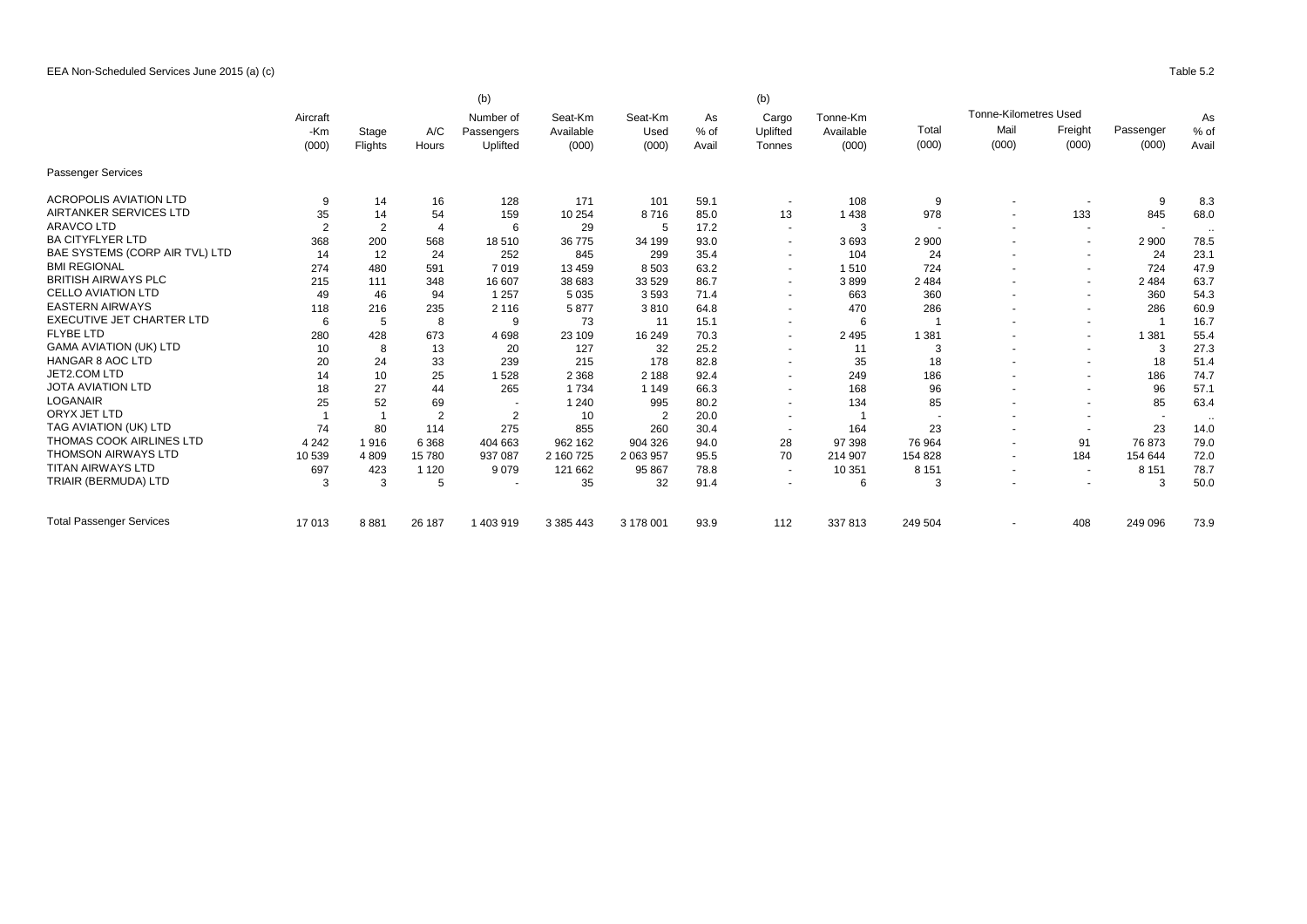|                                 |                |                |                | (b)                      |                      |                 |            | (b)                      |                       |                          |                              |                          |                          | As                   |
|---------------------------------|----------------|----------------|----------------|--------------------------|----------------------|-----------------|------------|--------------------------|-----------------------|--------------------------|------------------------------|--------------------------|--------------------------|----------------------|
|                                 | Aircraft       |                | A/C            | Number of<br>Passengers  | Seat-Km<br>Available | Seat-Km<br>Used | As<br>% of | Cargo<br>Uplifted        | Tonne-Km<br>Available |                          | <b>Tonne-Kilometres Used</b> |                          |                          |                      |
|                                 | -Km<br>(000)   | Stage          |                |                          |                      |                 |            |                          |                       | Total                    | Mail                         | Freight                  | Passenger                | % of                 |
|                                 |                |                | Flights        | Hours                    | Uplifted             | (000)           | (000)      | Avail                    | Tonnes                | (000)                    | (000)                        | (000)                    | (000)                    | (000)                |
| <b>Passenger Services</b>       |                |                |                |                          |                      |                 |            |                          |                       |                          |                              |                          |                          |                      |
| <b>ACROPOLIS AVIATION LTD</b>   | 9              | 14             | 16             | 128                      | 171                  | 101             | 59.1       | $\sim$                   | 108                   | 9                        |                              |                          | 9                        | 8.3                  |
| <b>AIRTANKER SERVICES LTD</b>   | 35             | 14             | 54             | 159                      | 10 254               | 8716            | 85.0       | 13                       | 1 4 3 8               | 978                      |                              | 133                      | 845                      | 68.0                 |
| <b>ARAVCO LTD</b>               | $\overline{2}$ | $\overline{2}$ | 4              | 6                        | 29                   | 5               | 17.2       | $\overline{\phantom{a}}$ | 3                     | $\overline{\phantom{a}}$ |                              | $\sim$                   | $\sim$                   | $\ddot{\phantom{0}}$ |
| <b>BA CITYFLYER LTD</b>         | 368            | 200            | 568            | 18510                    | 36 775               | 34 199          | 93.0       | $\blacksquare$           | 3693                  | 2 9 0 0                  |                              | $\overline{\phantom{a}}$ | 2 9 0 0                  | 78.5                 |
| BAE SYSTEMS (CORP AIR TVL) LTD  | 14             | 12             | 24             | 252                      | 845                  | 299             | 35.4       | $\overline{\phantom{a}}$ | 104                   | 24                       |                              | $\blacksquare$           | 24                       | 23.1                 |
| <b>BMI REGIONAL</b>             | 274            | 480            | 591            | 7019                     | 13 4 59              | 8 5 0 3         | 63.2       | $\blacksquare$           | 1510                  | 724                      |                              | $\blacksquare$           | 724                      | 47.9                 |
| <b>BRITISH AIRWAYS PLC</b>      | 215            | 111            | 348            | 16 607                   | 38 683               | 33 529          | 86.7       | $\blacksquare$           | 3899                  | 2 4 8 4                  |                              | $\overline{\phantom{a}}$ | 2 4 8 4                  | 63.7                 |
| <b>CELLO AVIATION LTD</b>       | 49             | 46             | 94             | 1 2 5 7                  | 5 0 3 5              | 3593            | 71.4       | $\blacksquare$           | 663                   | 360                      |                              | $\blacksquare$           | 360                      | 54.3                 |
| <b>EASTERN AIRWAYS</b>          | 118            | 216            | 235            | 2 1 1 6                  | 5877                 | 3810            | 64.8       | $\blacksquare$           | 470                   | 286                      |                              | $\overline{\phantom{a}}$ | 286                      | 60.9                 |
| EXECUTIVE JET CHARTER LTD       | 6              | 5              | 8              | 9                        | 73                   | 11              | 15.1       | $\blacksquare$           | 6                     |                          |                              | $\overline{\phantom{a}}$ |                          | 16.7                 |
| <b>FLYBE LTD</b>                | 280            | 428            | 673            | 4698                     | 23 109               | 16 249          | 70.3       | $\blacksquare$           | 2 4 9 5               | 1 3 8 1                  |                              | $\blacksquare$           | 1 3 8 1                  | 55.4                 |
| <b>GAMA AVIATION (UK) LTD</b>   | 10             | 8              | 13             | 20                       | 127                  | 32              | 25.2       | $\blacksquare$           | 11                    | 3                        |                              | $\overline{\phantom{a}}$ | 3                        | 27.3                 |
| <b>HANGAR 8 AOC LTD</b>         | 20             | 24             | 33             | 239                      | 215                  | 178             | 82.8       | $\blacksquare$           | 35                    | 18                       |                              | $\blacksquare$           | 18                       | 51.4                 |
| JET2.COM LTD                    | 14             | 10             | 25             | 1528                     | 2 3 6 8              | 2 1 8 8         | 92.4       | $\blacksquare$           | 249                   | 186                      |                              | $\blacksquare$           | 186                      | 74.7                 |
| <b>JOTA AVIATION LTD</b>        | 18             | 27             | 44             | 265                      | 1734                 | 1 1 4 9         | 66.3       | $\blacksquare$           | 168                   | 96                       |                              | $\blacksquare$           | 96                       | 57.1                 |
| <b>LOGANAIR</b>                 | 25             | 52             | 69             | $\overline{\phantom{a}}$ | 1 2 4 0              | 995             | 80.2       | $\blacksquare$           | 134                   | 85                       |                              | $\blacksquare$           | 85                       | 63.4                 |
| ORYX JET LTD                    |                |                | $\overline{2}$ | $\overline{2}$           | 10                   | $\overline{2}$  | 20.0       | $\overline{a}$           |                       |                          |                              | $\overline{\phantom{a}}$ | $\overline{\phantom{a}}$ | $\ddot{\phantom{0}}$ |
| TAG AVIATION (UK) LTD           | 74             | 80             | 114            | 275                      | 855                  | 260             | 30.4       | $\sim$                   | 164                   | 23                       |                              | $\overline{\phantom{a}}$ | 23                       | 14.0                 |
| <b>THOMAS COOK AIRLINES LTD</b> | 4 2 4 2        | 1916           | 6 3 6 8        | 404 663                  | 962 162              | 904 326         | 94.0       | 28                       | 97 398                | 76 964                   | $\overline{\phantom{a}}$     | 91                       | 76 873                   | 79.0                 |
| <b>THOMSON AIRWAYS LTD</b>      | 10 539         | 4 8 0 9        | 15780          | 937 087                  | 2 160 725            | 2 063 957       | 95.5       | 70                       | 214 907               | 154 828                  |                              | 184                      | 154 644                  | 72.0                 |
| <b>TITAN AIRWAYS LTD</b>        | 697            | 423            | 1 1 2 0        | 9079                     | 121 662              | 95 867          | 78.8       | $\sim$                   | 10 351                | 8 1 5 1                  | $\overline{\phantom{a}}$     | $\sim$                   | 8 1 5 1                  | 78.7                 |
| TRIAIR (BERMUDA) LTD            | 3              | 3              | 5              | $\overline{\phantom{a}}$ | 35                   | 32              | 91.4       | $\blacksquare$           | 6                     | 3                        |                              | $\overline{\phantom{a}}$ | 3                        | 50.0                 |
| <b>Total Passenger Services</b> | 17013          | 8881           | 26 187         | 1 403 919                | 3 385 443            | 3 178 001       | 93.9       | 112                      | 337813                | 249 504                  |                              | 408                      | 249 096                  | 73.9                 |